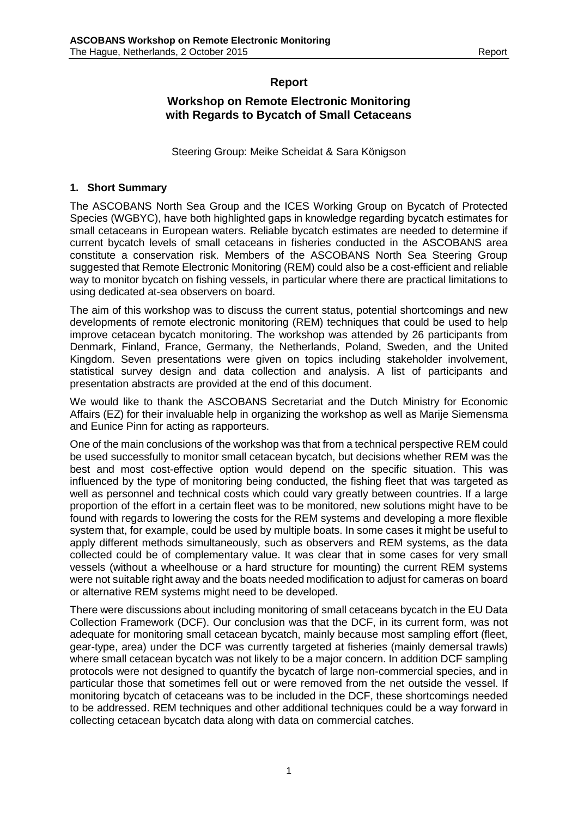## **Report**

## **Workshop on Remote Electronic Monitoring with Regards to Bycatch of Small Cetaceans**

Steering Group: Meike Scheidat & Sara Königson

#### **1. Short Summary**

The ASCOBANS North Sea Group and the ICES Working Group on Bycatch of Protected Species (WGBYC), have both highlighted gaps in knowledge regarding bycatch estimates for small cetaceans in European waters. Reliable bycatch estimates are needed to determine if current bycatch levels of small cetaceans in fisheries conducted in the ASCOBANS area constitute a conservation risk. Members of the ASCOBANS North Sea Steering Group suggested that Remote Electronic Monitoring (REM) could also be a cost-efficient and reliable way to monitor bycatch on fishing vessels, in particular where there are practical limitations to using dedicated at-sea observers on board.

The aim of this workshop was to discuss the current status, potential shortcomings and new developments of remote electronic monitoring (REM) techniques that could be used to help improve cetacean bycatch monitoring. The workshop was attended by 26 participants from Denmark, Finland, France, Germany, the Netherlands, Poland, Sweden, and the United Kingdom. Seven presentations were given on topics including stakeholder involvement, statistical survey design and data collection and analysis. A list of participants and presentation abstracts are provided at the end of this document.

We would like to thank the ASCOBANS Secretariat and the Dutch Ministry for Economic Affairs (EZ) for their invaluable help in organizing the workshop as well as Marije Siemensma and Eunice Pinn for acting as rapporteurs.

One of the main conclusions of the workshop was that from a technical perspective REM could be used successfully to monitor small cetacean bycatch, but decisions whether REM was the best and most cost-effective option would depend on the specific situation. This was influenced by the type of monitoring being conducted, the fishing fleet that was targeted as well as personnel and technical costs which could vary greatly between countries. If a large proportion of the effort in a certain fleet was to be monitored, new solutions might have to be found with regards to lowering the costs for the REM systems and developing a more flexible system that, for example, could be used by multiple boats. In some cases it might be useful to apply different methods simultaneously, such as observers and REM systems, as the data collected could be of complementary value. It was clear that in some cases for very small vessels (without a wheelhouse or a hard structure for mounting) the current REM systems were not suitable right away and the boats needed modification to adjust for cameras on board or alternative REM systems might need to be developed.

There were discussions about including monitoring of small cetaceans bycatch in the EU Data Collection Framework (DCF). Our conclusion was that the DCF, in its current form, was not adequate for monitoring small cetacean bycatch, mainly because most sampling effort (fleet, gear-type, area) under the DCF was currently targeted at fisheries (mainly demersal trawls) where small cetacean bycatch was not likely to be a major concern. In addition DCF sampling protocols were not designed to quantify the bycatch of large non-commercial species, and in particular those that sometimes fell out or were removed from the net outside the vessel. If monitoring bycatch of cetaceans was to be included in the DCF, these shortcomings needed to be addressed. REM techniques and other additional techniques could be a way forward in collecting cetacean bycatch data along with data on commercial catches.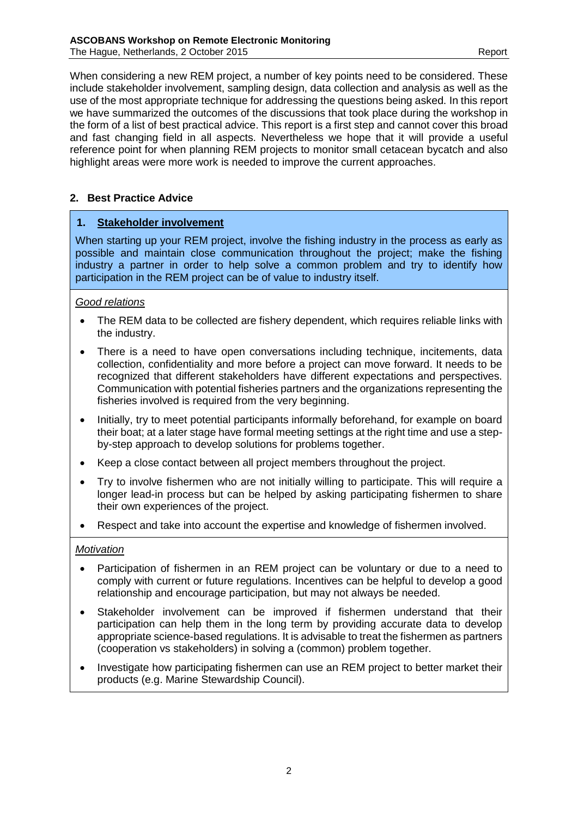When considering a new REM project, a number of key points need to be considered. These include stakeholder involvement, sampling design, data collection and analysis as well as the use of the most appropriate technique for addressing the questions being asked. In this report we have summarized the outcomes of the discussions that took place during the workshop in the form of a list of best practical advice. This report is a first step and cannot cover this broad and fast changing field in all aspects. Nevertheless we hope that it will provide a useful reference point for when planning REM projects to monitor small cetacean bycatch and also highlight areas were more work is needed to improve the current approaches.

## **2. Best Practice Advice**

## **1. Stakeholder involvement**

When starting up your REM project, involve the fishing industry in the process as early as possible and maintain close communication throughout the project; make the fishing industry a partner in order to help solve a common problem and try to identify how participation in the REM project can be of value to industry itself.

#### *Good relations*

- The REM data to be collected are fishery dependent, which requires reliable links with the industry.
- There is a need to have open conversations including technique, incitements, data collection, confidentiality and more before a project can move forward. It needs to be recognized that different stakeholders have different expectations and perspectives. Communication with potential fisheries partners and the organizations representing the fisheries involved is required from the very beginning.
- Initially, try to meet potential participants informally beforehand, for example on board their boat; at a later stage have formal meeting settings at the right time and use a stepby-step approach to develop solutions for problems together.
- Keep a close contact between all project members throughout the project.
- Try to involve fishermen who are not initially willing to participate. This will require a longer lead-in process but can be helped by asking participating fishermen to share their own experiences of the project.
- Respect and take into account the expertise and knowledge of fishermen involved.

#### *Motivation*

- Participation of fishermen in an REM project can be voluntary or due to a need to comply with current or future regulations. Incentives can be helpful to develop a good relationship and encourage participation, but may not always be needed.
- Stakeholder involvement can be improved if fishermen understand that their participation can help them in the long term by providing accurate data to develop appropriate science-based regulations. It is advisable to treat the fishermen as partners (cooperation vs stakeholders) in solving a (common) problem together.
- Investigate how participating fishermen can use an REM project to better market their products (e.g. Marine Stewardship Council).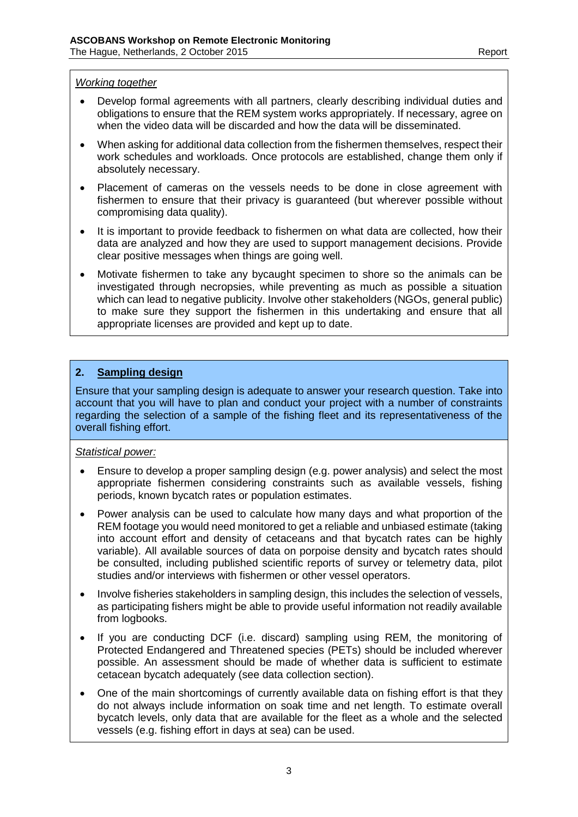#### *Working together*

- Develop formal agreements with all partners, clearly describing individual duties and obligations to ensure that the REM system works appropriately. If necessary, agree on when the video data will be discarded and how the data will be disseminated.
- When asking for additional data collection from the fishermen themselves, respect their work schedules and workloads. Once protocols are established, change them only if absolutely necessary.
- Placement of cameras on the vessels needs to be done in close agreement with fishermen to ensure that their privacy is guaranteed (but wherever possible without compromising data quality).
- It is important to provide feedback to fishermen on what data are collected, how their data are analyzed and how they are used to support management decisions. Provide clear positive messages when things are going well.
- Motivate fishermen to take any bycaught specimen to shore so the animals can be investigated through necropsies, while preventing as much as possible a situation which can lead to negative publicity. Involve other stakeholders (NGOs, general public) to make sure they support the fishermen in this undertaking and ensure that all appropriate licenses are provided and kept up to date.

#### **2. Sampling design**

Ensure that your sampling design is adequate to answer your research question. Take into account that you will have to plan and conduct your project with a number of constraints regarding the selection of a sample of the fishing fleet and its representativeness of the overall fishing effort.

#### *Statistical power:*

- Ensure to develop a proper sampling design (e.g. power analysis) and select the most appropriate fishermen considering constraints such as available vessels, fishing periods, known bycatch rates or population estimates.
- Power analysis can be used to calculate how many days and what proportion of the REM footage you would need monitored to get a reliable and unbiased estimate (taking into account effort and density of cetaceans and that bycatch rates can be highly variable). All available sources of data on porpoise density and bycatch rates should be consulted, including published scientific reports of survey or telemetry data, pilot studies and/or interviews with fishermen or other vessel operators.
- Involve fisheries stakeholders in sampling design, this includes the selection of vessels, as participating fishers might be able to provide useful information not readily available from logbooks.
- If you are conducting DCF (i.e. discard) sampling using REM, the monitoring of Protected Endangered and Threatened species (PETs) should be included wherever possible. An assessment should be made of whether data is sufficient to estimate cetacean bycatch adequately (see data collection section).
- One of the main shortcomings of currently available data on fishing effort is that they do not always include information on soak time and net length. To estimate overall bycatch levels, only data that are available for the fleet as a whole and the selected vessels (e.g. fishing effort in days at sea) can be used.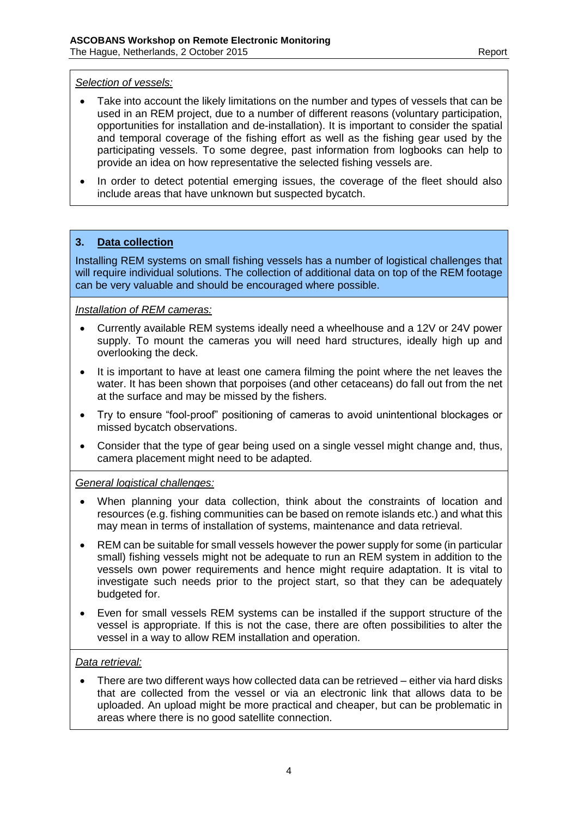#### *Selection of vessels:*

- Take into account the likely limitations on the number and types of vessels that can be used in an REM project, due to a number of different reasons (voluntary participation, opportunities for installation and de-installation). It is important to consider the spatial and temporal coverage of the fishing effort as well as the fishing gear used by the participating vessels. To some degree, past information from logbooks can help to provide an idea on how representative the selected fishing vessels are.
- In order to detect potential emerging issues, the coverage of the fleet should also include areas that have unknown but suspected bycatch.

## **3. Data collection**

Installing REM systems on small fishing vessels has a number of logistical challenges that will require individual solutions. The collection of additional data on top of the REM footage can be very valuable and should be encouraged where possible.

#### *Installation of REM cameras:*

- Currently available REM systems ideally need a wheelhouse and a 12V or 24V power supply. To mount the cameras you will need hard structures, ideally high up and overlooking the deck.
- It is important to have at least one camera filming the point where the net leaves the water. It has been shown that porpoises (and other cetaceans) do fall out from the net at the surface and may be missed by the fishers.
- Try to ensure "fool-proof" positioning of cameras to avoid unintentional blockages or missed bycatch observations.
- Consider that the type of gear being used on a single vessel might change and, thus, camera placement might need to be adapted.

#### *General logistical challenges:*

- When planning your data collection, think about the constraints of location and resources (e.g. fishing communities can be based on remote islands etc.) and what this may mean in terms of installation of systems, maintenance and data retrieval.
- REM can be suitable for small vessels however the power supply for some (in particular small) fishing vessels might not be adequate to run an REM system in addition to the vessels own power requirements and hence might require adaptation. It is vital to investigate such needs prior to the project start, so that they can be adequately budgeted for.
- Even for small vessels REM systems can be installed if the support structure of the vessel is appropriate. If this is not the case, there are often possibilities to alter the vessel in a way to allow REM installation and operation.

## *Data retrieval:*

• There are two different ways how collected data can be retrieved – either via hard disks that are collected from the vessel or via an electronic link that allows data to be uploaded. An upload might be more practical and cheaper, but can be problematic in areas where there is no good satellite connection.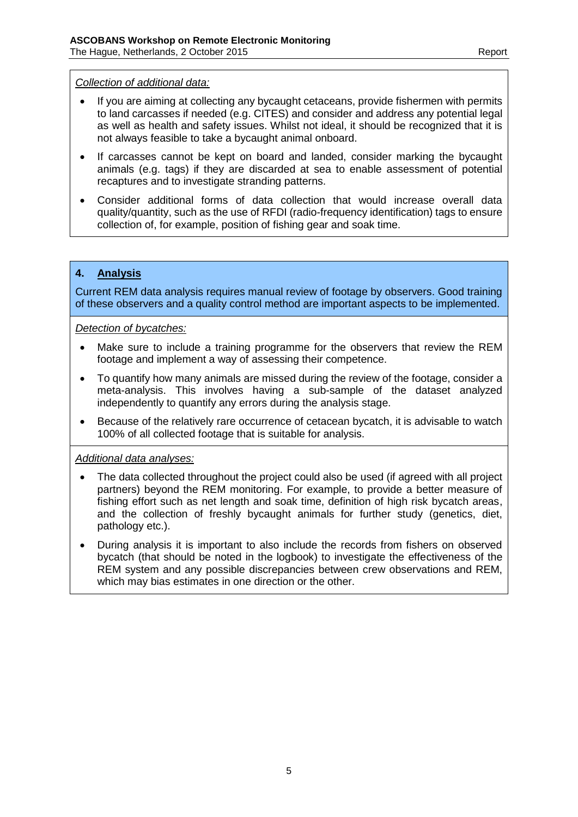#### *Collection of additional data:*

- If you are aiming at collecting any bycaught cetaceans, provide fishermen with permits to land carcasses if needed (e.g. CITES) and consider and address any potential legal as well as health and safety issues. Whilst not ideal, it should be recognized that it is not always feasible to take a bycaught animal onboard.
- If carcasses cannot be kept on board and landed, consider marking the bycaught animals (e.g. tags) if they are discarded at sea to enable assessment of potential recaptures and to investigate stranding patterns.
- Consider additional forms of data collection that would increase overall data quality/quantity, such as the use of RFDI (radio-frequency identification) tags to ensure collection of, for example, position of fishing gear and soak time.

## **4. Analysis**

Current REM data analysis requires manual review of footage by observers. Good training of these observers and a quality control method are important aspects to be implemented.

*Detection of bycatches:*

- Make sure to include a training programme for the observers that review the REM footage and implement a way of assessing their competence.
- To quantify how many animals are missed during the review of the footage, consider a meta-analysis. This involves having a sub-sample of the dataset analyzed independently to quantify any errors during the analysis stage.
- Because of the relatively rare occurrence of cetacean bycatch, it is advisable to watch 100% of all collected footage that is suitable for analysis.

*Additional data analyses:*

- The data collected throughout the project could also be used (if agreed with all project partners) beyond the REM monitoring. For example, to provide a better measure of fishing effort such as net length and soak time, definition of high risk bycatch areas, and the collection of freshly bycaught animals for further study (genetics, diet, pathology etc.).
- During analysis it is important to also include the records from fishers on observed bycatch (that should be noted in the logbook) to investigate the effectiveness of the REM system and any possible discrepancies between crew observations and REM, which may bias estimates in one direction or the other.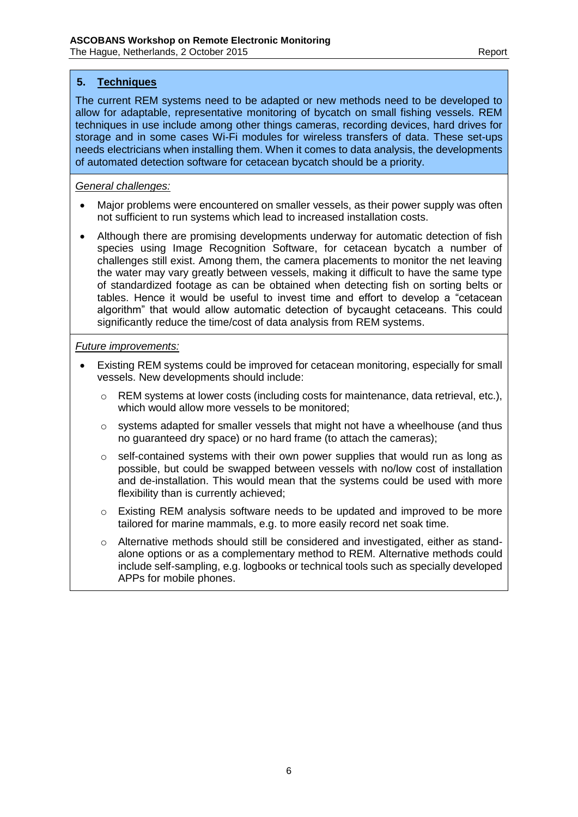# **5. Techniques**

The current REM systems need to be adapted or new methods need to be developed to allow for adaptable, representative monitoring of bycatch on small fishing vessels. REM techniques in use include among other things cameras, recording devices, hard drives for storage and in some cases Wi-Fi modules for wireless transfers of data. These set-ups needs electricians when installing them. When it comes to data analysis, the developments of automated detection software for cetacean bycatch should be a priority.

## *General challenges:*

- Major problems were encountered on smaller vessels, as their power supply was often not sufficient to run systems which lead to increased installation costs.
- Although there are promising developments underway for automatic detection of fish species using Image Recognition Software, for cetacean bycatch a number of challenges still exist. Among them, the camera placements to monitor the net leaving the water may vary greatly between vessels, making it difficult to have the same type of standardized footage as can be obtained when detecting fish on sorting belts or tables. Hence it would be useful to invest time and effort to develop a "cetacean algorithm" that would allow automatic detection of bycaught cetaceans. This could significantly reduce the time/cost of data analysis from REM systems.

#### *Future improvements:*

- Existing REM systems could be improved for cetacean monitoring, especially for small vessels. New developments should include:
	- o REM systems at lower costs (including costs for maintenance, data retrieval, etc.), which would allow more vessels to be monitored;
	- $\circ$  systems adapted for smaller vessels that might not have a wheelhouse (and thus no guaranteed dry space) or no hard frame (to attach the cameras);
	- o self-contained systems with their own power supplies that would run as long as possible, but could be swapped between vessels with no/low cost of installation and de-installation. This would mean that the systems could be used with more flexibility than is currently achieved;
	- o Existing REM analysis software needs to be updated and improved to be more tailored for marine mammals, e.g. to more easily record net soak time.
	- o Alternative methods should still be considered and investigated, either as standalone options or as a complementary method to REM. Alternative methods could include self-sampling, e.g. logbooks or technical tools such as specially developed APPs for mobile phones.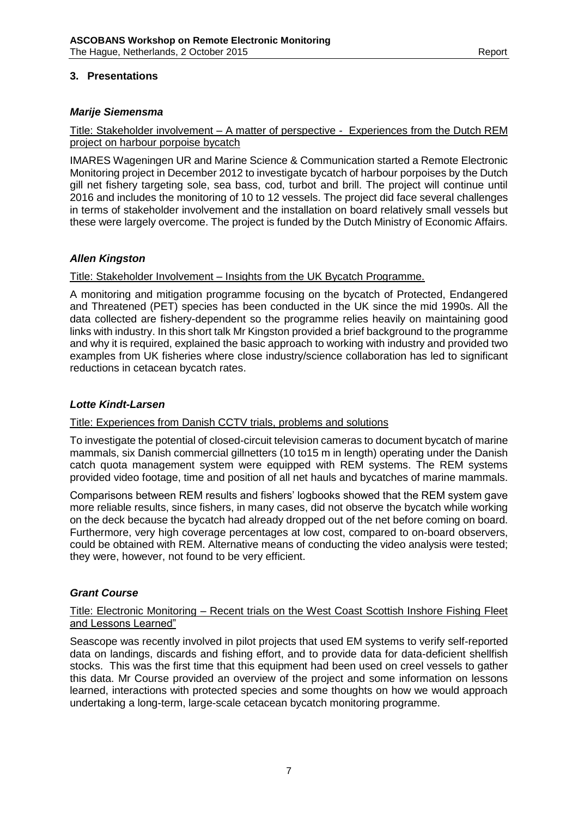## **3. Presentations**

#### *Marije Siemensma*

Title: Stakeholder involvement – A matter of perspective - Experiences from the Dutch REM project on harbour porpoise bycatch

IMARES Wageningen UR and Marine Science & Communication started a Remote Electronic Monitoring project in December 2012 to investigate bycatch of harbour porpoises by the Dutch gill net fishery targeting sole, sea bass, cod, turbot and brill. The project will continue until 2016 and includes the monitoring of 10 to 12 vessels. The project did face several challenges in terms of stakeholder involvement and the installation on board relatively small vessels but these were largely overcome. The project is funded by the Dutch Ministry of Economic Affairs.

#### *Allen Kingston*

Title: Stakeholder Involvement – Insights from the UK Bycatch Programme.

A monitoring and mitigation programme focusing on the bycatch of Protected, Endangered and Threatened (PET) species has been conducted in the UK since the mid 1990s. All the data collected are fishery-dependent so the programme relies heavily on maintaining good links with industry. In this short talk Mr Kingston provided a brief background to the programme and why it is required, explained the basic approach to working with industry and provided two examples from UK fisheries where close industry/science collaboration has led to significant reductions in cetacean bycatch rates.

#### *Lotte Kindt-Larsen*

#### Title: Experiences from Danish CCTV trials, problems and solutions

To investigate the potential of closed-circuit television cameras to document bycatch of marine mammals, six Danish commercial gillnetters (10 to15 m in length) operating under the Danish catch quota management system were equipped with REM systems. The REM systems provided video footage, time and position of all net hauls and bycatches of marine mammals.

Comparisons between REM results and fishers' logbooks showed that the REM system gave more reliable results, since fishers, in many cases, did not observe the bycatch while working on the deck because the bycatch had already dropped out of the net before coming on board. Furthermore, very high coverage percentages at low cost, compared to on-board observers, could be obtained with REM. Alternative means of conducting the video analysis were tested; they were, however, not found to be very efficient.

#### *Grant Course*

#### Title: Electronic Monitoring – Recent trials on the West Coast Scottish Inshore Fishing Fleet and Lessons Learned"

Seascope was recently involved in pilot projects that used EM systems to verify self-reported data on landings, discards and fishing effort, and to provide data for data-deficient shellfish stocks. This was the first time that this equipment had been used on creel vessels to gather this data. Mr Course provided an overview of the project and some information on lessons learned, interactions with protected species and some thoughts on how we would approach undertaking a long-term, large-scale cetacean bycatch monitoring programme.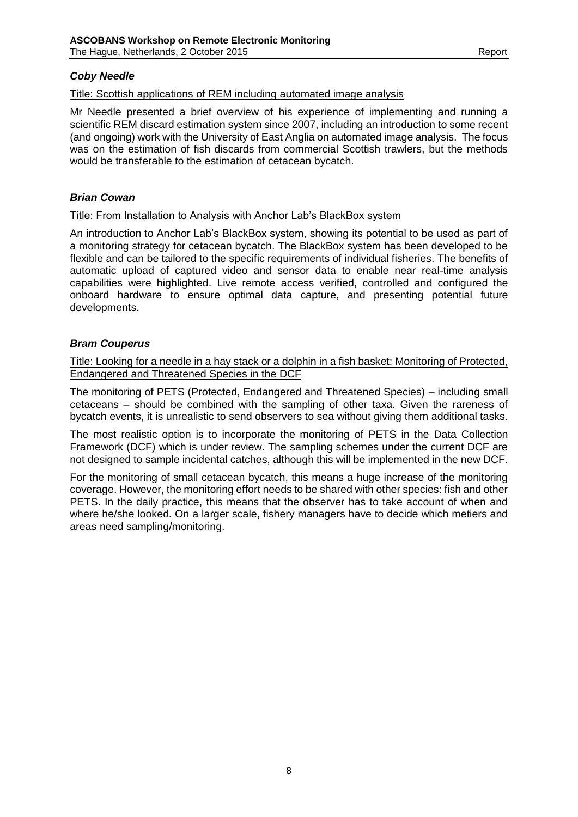## *Coby Needle*

## Title: Scottish applications of REM including automated image analysis

Mr Needle presented a brief overview of his experience of implementing and running a scientific REM discard estimation system since 2007, including an introduction to some recent (and ongoing) work with the University of East Anglia on automated image analysis. The focus was on the estimation of fish discards from commercial Scottish trawlers, but the methods would be transferable to the estimation of cetacean bycatch.

## *Brian Cowan*

#### Title: From Installation to Analysis with Anchor Lab's BlackBox system

An introduction to Anchor Lab's BlackBox system, showing its potential to be used as part of a monitoring strategy for cetacean bycatch. The BlackBox system has been developed to be flexible and can be tailored to the specific requirements of individual fisheries. The benefits of automatic upload of captured video and sensor data to enable near real-time analysis capabilities were highlighted. Live remote access verified, controlled and configured the onboard hardware to ensure optimal data capture, and presenting potential future developments.

#### *Bram Couperus*

Title: Looking for a needle in a hay stack or a dolphin in a fish basket: Monitoring of Protected, Endangered and Threatened Species in the DCF

The monitoring of PETS (Protected, Endangered and Threatened Species) – including small cetaceans – should be combined with the sampling of other taxa. Given the rareness of bycatch events, it is unrealistic to send observers to sea without giving them additional tasks.

The most realistic option is to incorporate the monitoring of PETS in the Data Collection Framework (DCF) which is under review. The sampling schemes under the current DCF are not designed to sample incidental catches, although this will be implemented in the new DCF.

For the monitoring of small cetacean bycatch, this means a huge increase of the monitoring coverage. However, the monitoring effort needs to be shared with other species: fish and other PETS. In the daily practice, this means that the observer has to take account of when and where he/she looked. On a larger scale, fishery managers have to decide which metiers and areas need sampling/monitoring.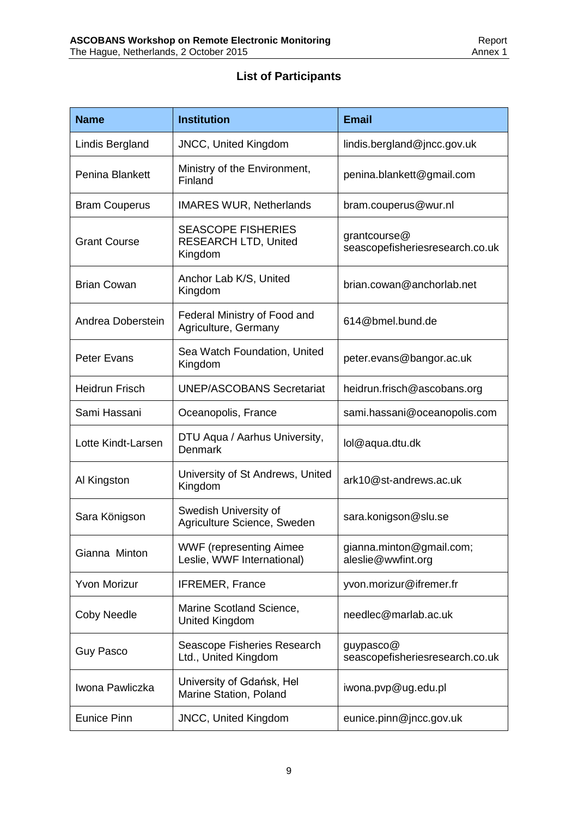# **List of Participants**

| <b>Name</b>           | <b>Institution</b>                                                  | <b>Email</b>                                    |
|-----------------------|---------------------------------------------------------------------|-------------------------------------------------|
| Lindis Bergland       | <b>JNCC, United Kingdom</b>                                         | lindis.bergland@jncc.gov.uk                     |
| Penina Blankett       | Ministry of the Environment,<br>Finland                             | penina.blankett@gmail.com                       |
| <b>Bram Couperus</b>  | <b>IMARES WUR, Netherlands</b>                                      | bram.couperus@wur.nl                            |
| <b>Grant Course</b>   | <b>SEASCOPE FISHERIES</b><br><b>RESEARCH LTD, United</b><br>Kingdom | grantcourse@<br>seascopefisheriesresearch.co.uk |
| <b>Brian Cowan</b>    | Anchor Lab K/S, United<br>Kingdom                                   | brian.cowan@anchorlab.net                       |
| Andrea Doberstein     | Federal Ministry of Food and<br>Agriculture, Germany                | 614@bmel.bund.de                                |
| <b>Peter Evans</b>    | Sea Watch Foundation, United<br>Kingdom                             | peter.evans@bangor.ac.uk                        |
| <b>Heidrun Frisch</b> | <b>UNEP/ASCOBANS Secretariat</b>                                    | heidrun.frisch@ascobans.org                     |
| Sami Hassani          | Oceanopolis, France                                                 | sami.hassani@oceanopolis.com                    |
| Lotte Kindt-Larsen    | DTU Aqua / Aarhus University,<br>Denmark                            | lol@aqua.dtu.dk                                 |
| Al Kingston           | University of St Andrews, United<br>Kingdom                         | ark10@st-andrews.ac.uk                          |
| Sara Königson         | Swedish University of<br>Agriculture Science, Sweden                | sara.konigson@slu.se                            |
| Gianna Minton         | <b>WWF</b> (representing Aimee<br>Leslie, WWF International)        | gianna.minton@gmail.com;<br>aleslie@wwfint.org  |
| <b>Yvon Morizur</b>   | <b>IFREMER, France</b>                                              | yvon.morizur@ifremer.fr                         |
| <b>Coby Needle</b>    | Marine Scotland Science,<br><b>United Kingdom</b>                   | needlec@marlab.ac.uk                            |
| <b>Guy Pasco</b>      | Seascope Fisheries Research<br>Ltd., United Kingdom                 | guypasco@<br>seascopefisheriesresearch.co.uk    |
| Iwona Pawliczka       | University of Gdańsk, Hel<br>Marine Station, Poland                 | iwona.pvp@ug.edu.pl                             |
| <b>Eunice Pinn</b>    | <b>JNCC, United Kingdom</b>                                         | eunice.pinn@jncc.gov.uk                         |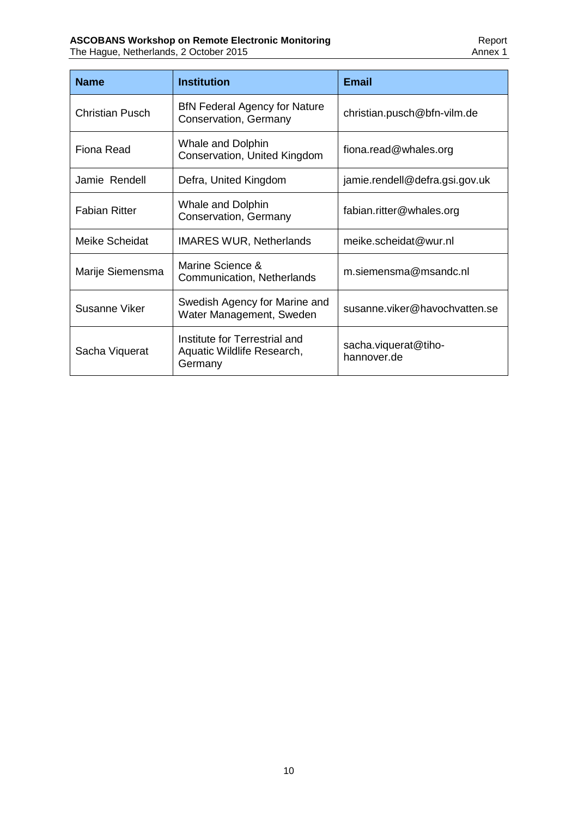| <b>Name</b>            | <b>Institution</b>                                                     | <b>Email</b>                        |
|------------------------|------------------------------------------------------------------------|-------------------------------------|
| <b>Christian Pusch</b> | <b>BfN Federal Agency for Nature</b><br>Conservation, Germany          | christian.pusch@bfn-vilm.de         |
| <b>Fiona Read</b>      | <b>Whale and Dolphin</b><br>Conservation, United Kingdom               | fiona.read@whales.org               |
| Jamie Rendell          | Defra, United Kingdom                                                  | jamie.rendell@defra.gsi.gov.uk      |
| <b>Fabian Ritter</b>   | <b>Whale and Dolphin</b><br>Conservation, Germany                      | fabian.ritter@whales.org            |
| Meike Scheidat         | <b>IMARES WUR, Netherlands</b>                                         | meike.scheidat@wur.nl               |
| Marije Siemensma       | Marine Science &<br>Communication, Netherlands                         | m.siemensma@msandc.nl               |
| Susanne Viker          | Swedish Agency for Marine and<br>Water Management, Sweden              | susanne.viker@havochvatten.se       |
| Sacha Viquerat         | Institute for Terrestrial and<br>Aquatic Wildlife Research,<br>Germany | sacha.viquerat@tiho-<br>hannover.de |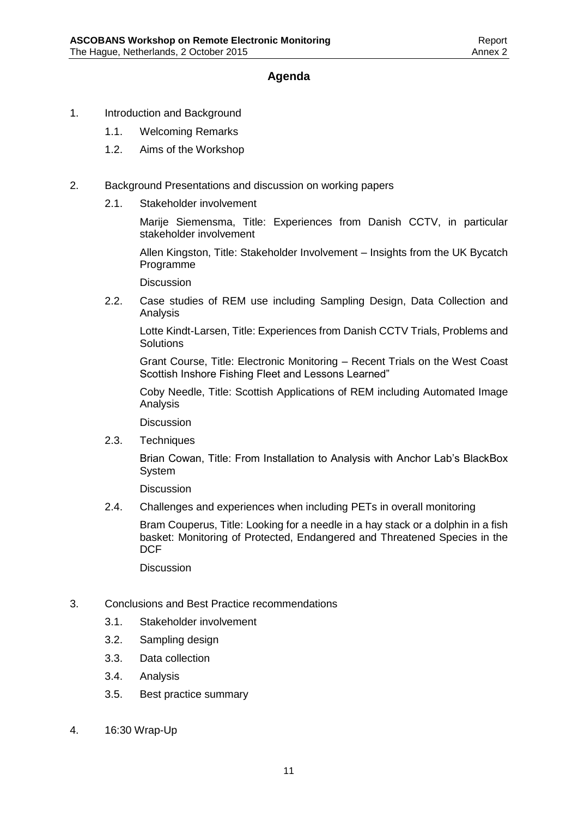# **Agenda**

- 1. Introduction and Background
	- 1.1. Welcoming Remarks
	- 1.2. Aims of the Workshop
- 2. Background Presentations and discussion on working papers
	- 2.1. Stakeholder involvement

Marije Siemensma, Title: Experiences from Danish CCTV, in particular stakeholder involvement

Allen Kingston, Title: Stakeholder Involvement – Insights from the UK Bycatch Programme

**Discussion** 

2.2. Case studies of REM use including Sampling Design, Data Collection and Analysis

Lotte Kindt-Larsen, Title: Experiences from Danish CCTV Trials, Problems and **Solutions** 

Grant Course, Title: Electronic Monitoring – Recent Trials on the West Coast Scottish Inshore Fishing Fleet and Lessons Learned"

Coby Needle, Title: Scottish Applications of REM including Automated Image Analysis

**Discussion** 

2.3. Techniques

Brian Cowan, Title: From Installation to Analysis with Anchor Lab's BlackBox System

**Discussion** 

2.4. Challenges and experiences when including PETs in overall monitoring

Bram Couperus, Title: Looking for a needle in a hay stack or a dolphin in a fish basket: Monitoring of Protected, Endangered and Threatened Species in the **DCF** 

Discussion

- 3. Conclusions and Best Practice recommendations
	- 3.1. Stakeholder involvement
	- 3.2. Sampling design
	- 3.3. Data collection
	- 3.4. Analysis
	- 3.5. Best practice summary
- 4. 16:30 Wrap-Up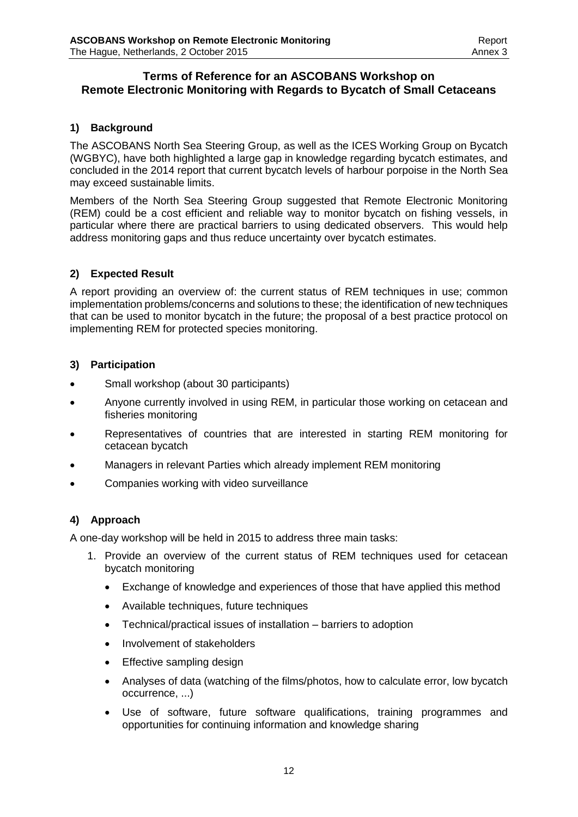## **Terms of Reference for an ASCOBANS Workshop on Remote Electronic Monitoring with Regards to Bycatch of Small Cetaceans**

## **1) Background**

The ASCOBANS North Sea Steering Group, as well as the ICES Working Group on Bycatch (WGBYC), have both highlighted a large gap in knowledge regarding bycatch estimates, and concluded in the 2014 report that current bycatch levels of harbour porpoise in the North Sea may exceed sustainable limits.

Members of the North Sea Steering Group suggested that Remote Electronic Monitoring (REM) could be a cost efficient and reliable way to monitor bycatch on fishing vessels, in particular where there are practical barriers to using dedicated observers. This would help address monitoring gaps and thus reduce uncertainty over bycatch estimates.

## **2) Expected Result**

A report providing an overview of: the current status of REM techniques in use; common implementation problems/concerns and solutions to these; the identification of new techniques that can be used to monitor bycatch in the future; the proposal of a best practice protocol on implementing REM for protected species monitoring.

## **3) Participation**

- Small workshop (about 30 participants)
- Anyone currently involved in using REM, in particular those working on cetacean and fisheries monitoring
- Representatives of countries that are interested in starting REM monitoring for cetacean bycatch
- Managers in relevant Parties which already implement REM monitoring
- Companies working with video surveillance

## **4) Approach**

A one-day workshop will be held in 2015 to address three main tasks:

- 1. Provide an overview of the current status of REM techniques used for cetacean bycatch monitoring
	- Exchange of knowledge and experiences of those that have applied this method
	- Available techniques, future techniques
	- Technical/practical issues of installation barriers to adoption
	- Involvement of stakeholders
	- Effective sampling design
	- Analyses of data (watching of the films/photos, how to calculate error, low bycatch occurrence, ...)
	- Use of software, future software qualifications, training programmes and opportunities for continuing information and knowledge sharing